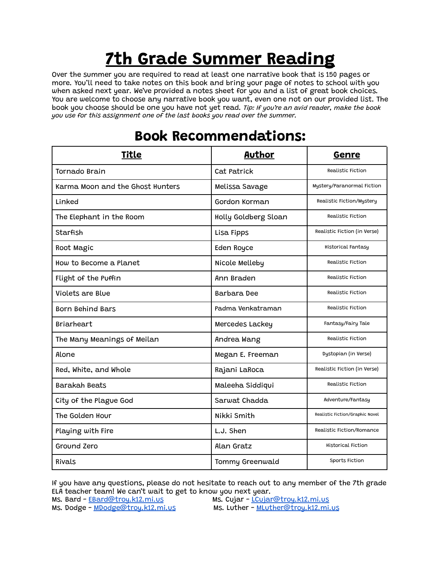## **7th Grade Summer Reading**

Over the summer you are required to read at least one narrative book that is 150 pages or more. You'll need to take notes on this book and bring your page of notes to school with you when asked next year. We've provided a notes sheet for you and a list of great book choices. You are welcome to choose any narrative book you want, even one not on our provided list. The book you choose should be one you have not yet read. *Tip: If you're an avid reader, make the book you use for this assignment one of the last books you read over the summer.*

| <b>Title</b>                     | Author                 | Genre                           |
|----------------------------------|------------------------|---------------------------------|
| Tornado Brain                    | Cat Patrick            | Realistic Fiction               |
| Karma Moon and the Ghost Hunters | Melissa Savage         | Mystery/Paranormal Fiction      |
| Linked                           | Gordon Korman          | Realistic Fiction/Mystery       |
| The Elephant in the Room         | Holly Goldberg Sloan   | Realistic Fiction               |
| Starfish                         | Lisa Fipps             | Realistic Fiction (in Verse)    |
| Root Magic                       | Eden Royce             | Historical Fantasy              |
| How to Become a Planet           | Nicole Melleby         | Realistic Fiction               |
| Flight of the Puffin             | Ann Braden             | Realistic Fiction               |
| Violets are Blue                 | Barbara Dee            | Realistic Fiction               |
| <b>Born Behind Bars</b>          | Padma Venkatraman      | Realistic Fiction               |
| <b>Briarheart</b>                | Mercedes Lackey        | Fantasy/Fairy Tale              |
| The Many Meanings of Meilan      | Andrea Wang            | Realistic Fiction               |
| Alone                            | Megan E. Freeman       | Dystopian (in Verse)            |
| Red, White, and Whole            | Rajani LaRoca          | Realistic Fiction (in Verse)    |
| Barakah Beats                    | Maleeha Siddiqui       | Realistic Fiction               |
| City of the Plague God           | Sarwat Chadda          | Adventure/Fantasy               |
| The Golden Hour                  | Nikki Smith            | Realistic Fiction/Graphic Novel |
| Playing with Fire                | L.J. Shen              | Realistic Fiction/Romance       |
| Ground Zero                      | Alan Gratz             | Historical Fiction              |
| Rivals                           | <b>Tommy Greenwald</b> | Sports Fiction                  |

## **Book Recommendations:**

If you have any questions, please do not hesitate to reach out to any member of the 7th grade ELA teacher team! We can't wait to get to know you next year.<br>Ms. Bard - <u>EBard@troy.k12.mi.us</u> Ms. Cujar - <u>LCujar</u>

Ms. Dodge - [MDodge@troy.k12.mi.us](mailto:MDodge@troy.k12.mi.us)

Ms. Cujar - <u>[LCujar@troy.k12.mi.us](mailto:LCujar@troy.k12.mi.us)</u><br>Ms. Luther - <u>MLuther@troy.k12.mi.us</u>